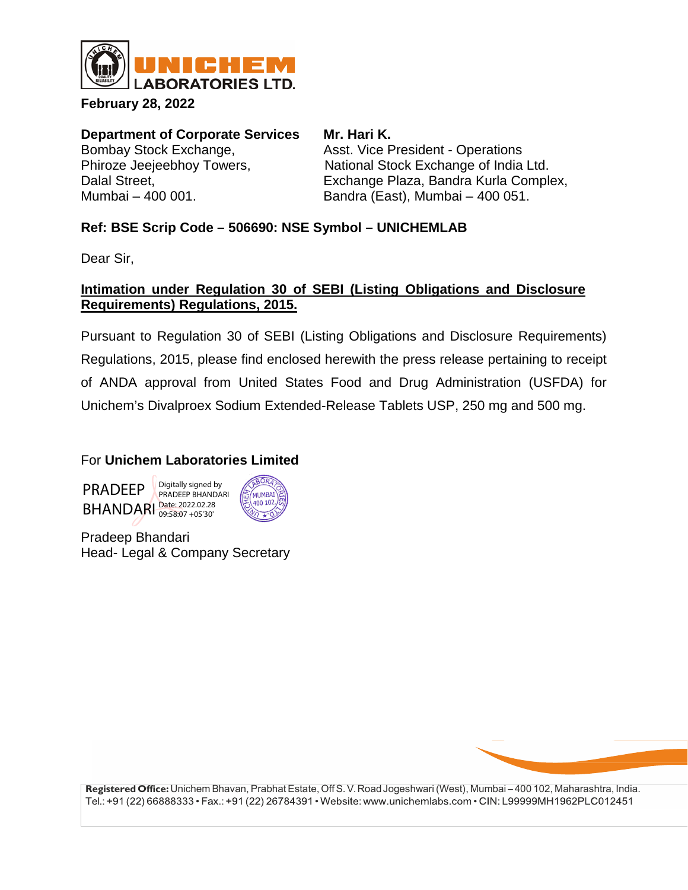

**February 28, 2022**

**Department of Corporate Services Mr. Hari K.**<br>Bombay Stock Exchange. **Asst. Vice Premiers** 

Asst. Vice President - Operations Phiroze Jeejeebhoy Towers, National Stock Exchange of India Ltd.<br>Dalal Street. Cases Exchange Plaza, Bandra Kurla Completed. Exchange Plaza, Bandra Kurla Complex, Mumbai – 400 001. Bandra (East), Mumbai – 400 051.

# **Ref: BSE Scrip Code – 506690: NSE Symbol – UNICHEMLAB**

Dear Sir,

## **Intimation under Regulation 30 of SEBI (Listing Obligations and Disclosure Requirements) Regulations, 2015.**

Pursuant to Regulation 30 of SEBI (Listing Obligations and Disclosure Requirements) Regulations, 2015, please find enclosed herewith the press release pertaining to receipt of ANDA approval from United States Food and Drug Administration (USFDA) for Unichem's Divalproex Sodium Extended-Release Tablets USP, 250 mg and 500 mg.

# For **Unichem Laboratories Limited**





Pradeep Bhandari Head- Legal & Company Secretary



**Registered Office:** Unichem Bhavan, PrabhatEstate, Off S. V.RoadJogeshwari (West), Mumbai – 400 102, Maharashtra, India. Tel.: +91 (22) 66888333 • Fax.: +91 (22) 26784391 • Website: www.unichemlabs.com • CIN: L99999MH1962PLC012451